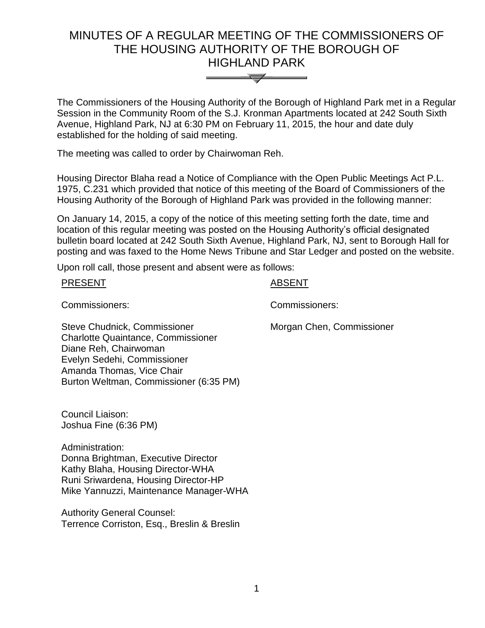# MINUTES OF A REGULAR MEETING OF THE COMMISSIONERS OF THE HOUSING AUTHORITY OF THE BOROUGH OF HIGHLAND PARK



The Commissioners of the Housing Authority of the Borough of Highland Park met in a Regular Session in the Community Room of the S.J. Kronman Apartments located at 242 South Sixth Avenue, Highland Park, NJ at 6:30 PM on February 11, 2015, the hour and date duly established for the holding of said meeting.

The meeting was called to order by Chairwoman Reh.

Housing Director Blaha read a Notice of Compliance with the Open Public Meetings Act P.L. 1975, C.231 which provided that notice of this meeting of the Board of Commissioners of the Housing Authority of the Borough of Highland Park was provided in the following manner:

On January 14, 2015, a copy of the notice of this meeting setting forth the date, time and location of this regular meeting was posted on the Housing Authority's official designated bulletin board located at 242 South Sixth Avenue, Highland Park, NJ, sent to Borough Hall for posting and was faxed to the Home News Tribune and Star Ledger and posted on the website.

Upon roll call, those present and absent were as follows:

PRESENT ABSENT

Commissioners: Commissioners:

Morgan Chen, Commissioner

Steve Chudnick, Commissioner Charlotte Quaintance, Commissioner Diane Reh, Chairwoman Evelyn Sedehi, Commissioner Amanda Thomas, Vice Chair Burton Weltman, Commissioner (6:35 PM)

Council Liaison: Joshua Fine (6:36 PM)

Administration: Donna Brightman, Executive Director Kathy Blaha, Housing Director-WHA Runi Sriwardena, Housing Director-HP Mike Yannuzzi, Maintenance Manager-WHA

Authority General Counsel: Terrence Corriston, Esq., Breslin & Breslin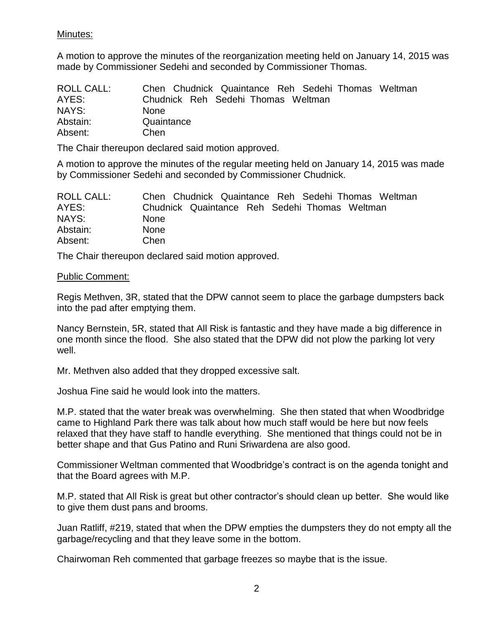# Minutes:

A motion to approve the minutes of the reorganization meeting held on January 14, 2015 was made by Commissioner Sedehi and seconded by Commissioner Thomas.

| <b>ROLL CALL:</b> | Chen Chudnick Quaintance Reh Sedehi Thomas Weltman |
|-------------------|----------------------------------------------------|
| AYES:             | Chudnick Reh Sedehi Thomas Weltman                 |
| NAYS:             | <b>None</b>                                        |
| Abstain:          | Quaintance                                         |
| Absent:           | Chen                                               |

The Chair thereupon declared said motion approved.

A motion to approve the minutes of the regular meeting held on January 14, 2015 was made by Commissioner Sedehi and seconded by Commissioner Chudnick.

| <b>ROLL CALL:</b> | Chen Chudnick Quaintance Reh Sedehi Thomas Weltman |
|-------------------|----------------------------------------------------|
| AYES:             | Chudnick Quaintance Reh Sedehi Thomas Weltman      |
| NAYS:             | <b>None</b>                                        |
| Abstain:          | <b>None</b>                                        |
| Absent:           | Chen                                               |

The Chair thereupon declared said motion approved.

#### Public Comment:

Regis Methven, 3R, stated that the DPW cannot seem to place the garbage dumpsters back into the pad after emptying them.

Nancy Bernstein, 5R, stated that All Risk is fantastic and they have made a big difference in one month since the flood. She also stated that the DPW did not plow the parking lot very well.

Mr. Methven also added that they dropped excessive salt.

Joshua Fine said he would look into the matters.

M.P. stated that the water break was overwhelming. She then stated that when Woodbridge came to Highland Park there was talk about how much staff would be here but now feels relaxed that they have staff to handle everything. She mentioned that things could not be in better shape and that Gus Patino and Runi Sriwardena are also good.

Commissioner Weltman commented that Woodbridge's contract is on the agenda tonight and that the Board agrees with M.P.

M.P. stated that All Risk is great but other contractor's should clean up better. She would like to give them dust pans and brooms.

Juan Ratliff, #219, stated that when the DPW empties the dumpsters they do not empty all the garbage/recycling and that they leave some in the bottom.

Chairwoman Reh commented that garbage freezes so maybe that is the issue.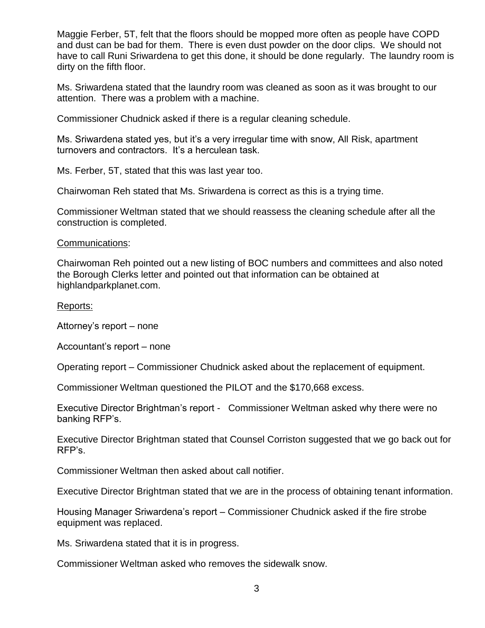Maggie Ferber, 5T, felt that the floors should be mopped more often as people have COPD and dust can be bad for them. There is even dust powder on the door clips. We should not have to call Runi Sriwardena to get this done, it should be done regularly. The laundry room is dirty on the fifth floor.

Ms. Sriwardena stated that the laundry room was cleaned as soon as it was brought to our attention. There was a problem with a machine.

Commissioner Chudnick asked if there is a regular cleaning schedule.

Ms. Sriwardena stated yes, but it's a very irregular time with snow, All Risk, apartment turnovers and contractors. It's a herculean task.

Ms. Ferber, 5T, stated that this was last year too.

Chairwoman Reh stated that Ms. Sriwardena is correct as this is a trying time.

Commissioner Weltman stated that we should reassess the cleaning schedule after all the construction is completed.

#### Communications:

Chairwoman Reh pointed out a new listing of BOC numbers and committees and also noted the Borough Clerks letter and pointed out that information can be obtained at highlandparkplanet.com.

#### Reports:

Attorney's report – none

Accountant's report – none

Operating report – Commissioner Chudnick asked about the replacement of equipment.

Commissioner Weltman questioned the PILOT and the \$170,668 excess.

Executive Director Brightman's report - Commissioner Weltman asked why there were no banking RFP's.

Executive Director Brightman stated that Counsel Corriston suggested that we go back out for RFP's.

Commissioner Weltman then asked about call notifier.

Executive Director Brightman stated that we are in the process of obtaining tenant information.

Housing Manager Sriwardena's report – Commissioner Chudnick asked if the fire strobe equipment was replaced.

Ms. Sriwardena stated that it is in progress.

Commissioner Weltman asked who removes the sidewalk snow.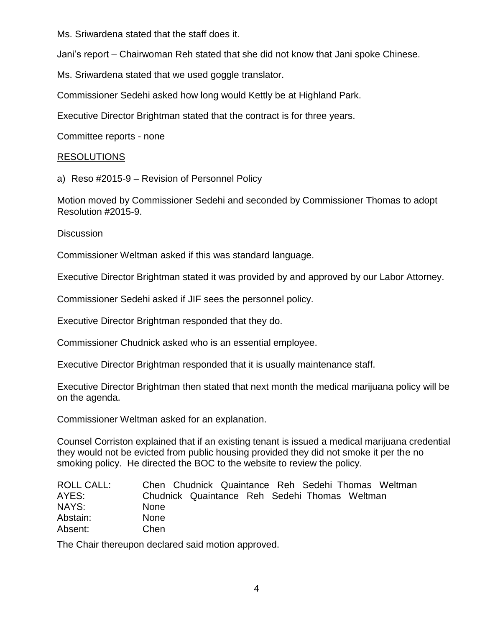Ms. Sriwardena stated that the staff does it.

Jani's report – Chairwoman Reh stated that she did not know that Jani spoke Chinese.

Ms. Sriwardena stated that we used goggle translator.

Commissioner Sedehi asked how long would Kettly be at Highland Park.

Executive Director Brightman stated that the contract is for three years.

Committee reports - none

# RESOLUTIONS

a) Reso #2015-9 – Revision of Personnel Policy

Motion moved by Commissioner Sedehi and seconded by Commissioner Thomas to adopt Resolution #2015-9.

# **Discussion**

Commissioner Weltman asked if this was standard language.

Executive Director Brightman stated it was provided by and approved by our Labor Attorney.

Commissioner Sedehi asked if JIF sees the personnel policy.

Executive Director Brightman responded that they do.

Commissioner Chudnick asked who is an essential employee.

Executive Director Brightman responded that it is usually maintenance staff.

Executive Director Brightman then stated that next month the medical marijuana policy will be on the agenda.

Commissioner Weltman asked for an explanation.

Counsel Corriston explained that if an existing tenant is issued a medical marijuana credential they would not be evicted from public housing provided they did not smoke it per the no smoking policy. He directed the BOC to the website to review the policy.

| ROLL CALL: | Chen Chudnick Quaintance Reh Sedehi Thomas Weltman |
|------------|----------------------------------------------------|
| AYES:      | Chudnick Quaintance Reh Sedehi Thomas Weltman      |
| NAYS:      | <b>None</b>                                        |
| Abstain:   | <b>None</b>                                        |
| Absent:    | Chen                                               |

The Chair thereupon declared said motion approved.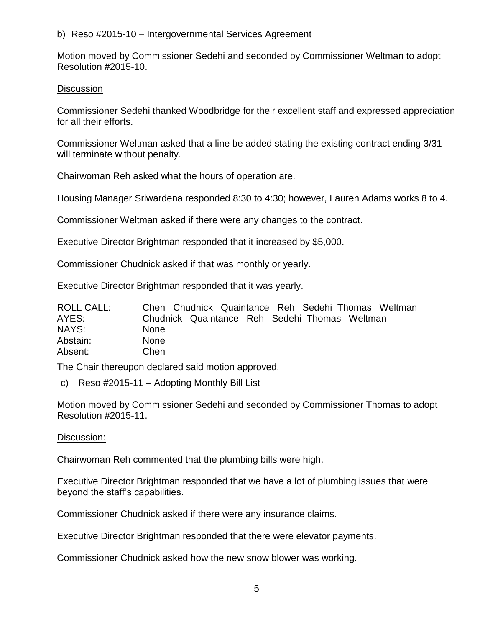b) Reso #2015-10 – Intergovernmental Services Agreement

Motion moved by Commissioner Sedehi and seconded by Commissioner Weltman to adopt Resolution #2015-10.

# **Discussion**

Commissioner Sedehi thanked Woodbridge for their excellent staff and expressed appreciation for all their efforts.

Commissioner Weltman asked that a line be added stating the existing contract ending 3/31 will terminate without penalty.

Chairwoman Reh asked what the hours of operation are.

Housing Manager Sriwardena responded 8:30 to 4:30; however, Lauren Adams works 8 to 4.

Commissioner Weltman asked if there were any changes to the contract.

Executive Director Brightman responded that it increased by \$5,000.

Commissioner Chudnick asked if that was monthly or yearly.

Executive Director Brightman responded that it was yearly.

| ROLL CALL: | Chen Chudnick Quaintance Reh Sedehi Thomas Weltman |
|------------|----------------------------------------------------|
| AYES:      | Chudnick Quaintance Reh Sedehi Thomas Weltman      |
| NAYS:      | <b>None</b>                                        |
| Abstain:   | <b>None</b>                                        |
| Absent:    | Chen                                               |

The Chair thereupon declared said motion approved.

c) Reso #2015-11 – Adopting Monthly Bill List

Motion moved by Commissioner Sedehi and seconded by Commissioner Thomas to adopt Resolution #2015-11.

# Discussion:

Chairwoman Reh commented that the plumbing bills were high.

Executive Director Brightman responded that we have a lot of plumbing issues that were beyond the staff's capabilities.

Commissioner Chudnick asked if there were any insurance claims.

Executive Director Brightman responded that there were elevator payments.

Commissioner Chudnick asked how the new snow blower was working.